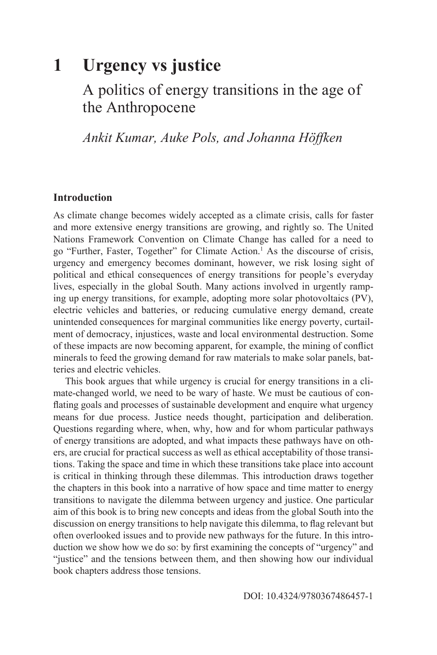# **1 Urgency vs justice**

# A politics of energy transitions in the age of the Anthropocene

*Ankit Kumar, Auke Pols, and Johanna Höffken*

### **Introduction**

As climate change becomes widely accepted as a climate crisis, calls for faster and more extensive energy transitions are growing, and rightly so. The United Nations Framework Convention on Climate Change has called for a need to go "Further, Faster, Together" for Climate Action.1 As the discourse of crisis, urgency and emergency becomes dominant, however, we risk losing sight of political and ethical consequences of energy transitions for people's everyday lives, especially in the global South. Many actions involved in urgently ramping up energy transitions, for example, adopting more solar photovoltaics (PV), electric vehicles and batteries, or reducing cumulative energy demand, create unintended consequences for marginal communities like energy poverty, curtailment of democracy, injustices, waste and local environmental destruction. Some of these impacts are now becoming apparent, for example, the mining of conflict minerals to feed the growing demand for raw materials to make solar panels, batteries and electric vehicles.

This book argues that while urgency is crucial for energy transitions in a climate-changed world, we need to be wary of haste. We must be cautious of conflating goals and processes of sustainable development and enquire what urgency means for due process. Justice needs thought, participation and deliberation. Questions regarding where, when, why, how and for whom particular pathways of energy transitions are adopted, and what impacts these pathways have on others, are crucial for practical success as well as ethical acceptability of those transitions. Taking the space and time in which these transitions take place into account is critical in thinking through these dilemmas. This introduction draws together the chapters in this book into a narrative of how space and time matter to energy transitions to navigate the dilemma between urgency and justice. One particular aim of this book is to bring new concepts and ideas from the global South into the discussion on energy transitions to help navigate this dilemma, to flag relevant but often overlooked issues and to provide new pathways for the future. In this introduction we show how we do so: by first examining the concepts of "urgency" and "justice" and the tensions between them, and then showing how our individual book chapters address those tensions.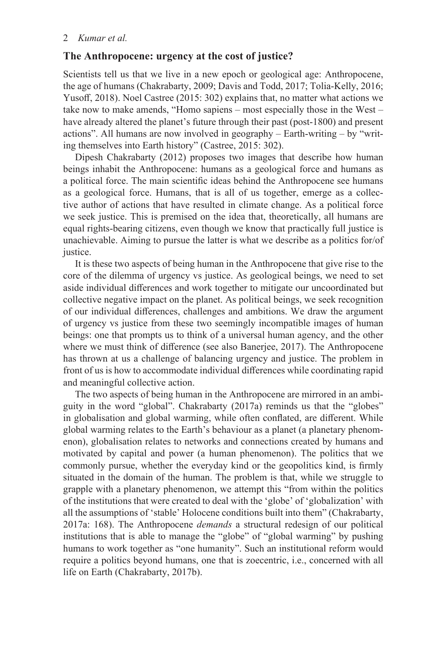#### **The Anthropocene: urgency at the cost of justice?**

Scientists tell us that we live in a new epoch or geological age: Anthropocene, the age of humans (Chakrabarty, 2009; Davis and Todd, 2017; Tolia-Kelly, 2016; Yusoff, 2018). Noel Castree (2015: 302) explains that, no matter what actions we take now to make amends, "Homo sapiens – most especially those in the West – have already altered the planet's future through their past (post-1800) and present actions". All humans are now involved in geography – Earth-writing – by "writing themselves into Earth history" (Castree, 2015: 302).

Dipesh Chakrabarty (2012) proposes two images that describe how human beings inhabit the Anthropocene: humans as a geological force and humans as a political force. The main scientific ideas behind the Anthropocene see humans as a geological force. Humans, that is all of us together, emerge as a collective author of actions that have resulted in climate change. As a political force we seek justice. This is premised on the idea that, theoretically, all humans are equal rights-bearing citizens, even though we know that practically full justice is unachievable. Aiming to pursue the latter is what we describe as a politics for/of justice.

It is these two aspects of being human in the Anthropocene that give rise to the core of the dilemma of urgency vs justice. As geological beings, we need to set aside individual differences and work together to mitigate our uncoordinated but collective negative impact on the planet. As political beings, we seek recognition of our individual differences, challenges and ambitions. We draw the argument of urgency vs justice from these two seemingly incompatible images of human beings: one that prompts us to think of a universal human agency, and the other where we must think of difference (see also Banerjee, 2017). The Anthropocene has thrown at us a challenge of balancing urgency and justice. The problem in front of us is how to accommodate individual differences while coordinating rapid and meaningful collective action.

The two aspects of being human in the Anthropocene are mirrored in an ambiguity in the word "global". Chakrabarty (2017a) reminds us that the "globes" in globalisation and global warming, while often conflated, are different. While global warming relates to the Earth's behaviour as a planet (a planetary phenomenon), globalisation relates to networks and connections created by humans and motivated by capital and power (a human phenomenon). The politics that we commonly pursue, whether the everyday kind or the geopolitics kind, is firmly situated in the domain of the human. The problem is that, while we struggle to grapple with a planetary phenomenon, we attempt this "from within the politics of the institutions that were created to deal with the 'globe' of 'globalization' with all the assumptions of 'stable' Holocene conditions built into them" (Chakrabarty, 2017a: 168). The Anthropocene *demands* a structural redesign of our political institutions that is able to manage the "globe" of "global warming" by pushing humans to work together as "one humanity". Such an institutional reform would require a politics beyond humans, one that is zoecentric, i.e., concerned with all life on Earth (Chakrabarty, 2017b).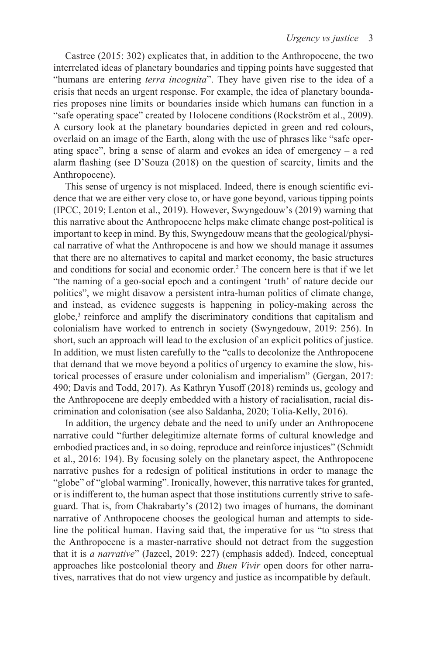Castree (2015: 302) explicates that, in addition to the Anthropocene, the two interrelated ideas of planetary boundaries and tipping points have suggested that "humans are entering *terra incognita*". They have given rise to the idea of a crisis that needs an urgent response. For example, the idea of planetary boundaries proposes nine limits or boundaries inside which humans can function in a "safe operating space" created by Holocene conditions (Rockström et al., 2009). A cursory look at the planetary boundaries depicted in green and red colours, overlaid on an image of the Earth, along with the use of phrases like "safe operating space", bring a sense of alarm and evokes an idea of emergency – a red alarm flashing (see D'Souza (2018) on the question of scarcity, limits and the Anthropocene).

This sense of urgency is not misplaced. Indeed, there is enough scientific evidence that we are either very close to, or have gone beyond, various tipping points (IPCC, 2019; Lenton et al., 2019). However, Swyngedouw's (2019) warning that this narrative about the Anthropocene helps make climate change post-political is important to keep in mind. By this, Swyngedouw means that the geological/physical narrative of what the Anthropocene is and how we should manage it assumes that there are no alternatives to capital and market economy, the basic structures and conditions for social and economic order.2 The concern here is that if we let "the naming of a geo-social epoch and a contingent 'truth' of nature decide our politics", we might disavow a persistent intra-human politics of climate change, and instead, as evidence suggests is happening in policy-making across the globe,3 reinforce and amplify the discriminatory conditions that capitalism and colonialism have worked to entrench in society (Swyngedouw, 2019: 256). In short, such an approach will lead to the exclusion of an explicit politics of justice. In addition, we must listen carefully to the "calls to decolonize the Anthropocene that demand that we move beyond a politics of urgency to examine the slow, historical processes of erasure under colonialism and imperialism" (Gergan, 2017: 490; Davis and Todd, 2017). As Kathryn Yusoff (2018) reminds us, geology and the Anthropocene are deeply embedded with a history of racialisation, racial discrimination and colonisation (see also Saldanha, 2020; Tolia-Kelly, 2016).

In addition, the urgency debate and the need to unify under an Anthropocene narrative could "further delegitimize alternate forms of cultural knowledge and embodied practices and, in so doing, reproduce and reinforce injustices" (Schmidt et al., 2016: 194). By focusing solely on the planetary aspect, the Anthropocene narrative pushes for a redesign of political institutions in order to manage the "globe" of "global warming". Ironically, however, this narrative takes for granted, or is indifferent to, the human aspect that those institutions currently strive to safeguard. That is, from Chakrabarty's (2012) two images of humans, the dominant narrative of Anthropocene chooses the geological human and attempts to sideline the political human. Having said that, the imperative for us "to stress that the Anthropocene is a master-narrative should not detract from the suggestion that it is *a narrative*" (Jazeel, 2019: 227) (emphasis added). Indeed, conceptual approaches like postcolonial theory and *Buen Vivir* open doors for other narratives, narratives that do not view urgency and justice as incompatible by default.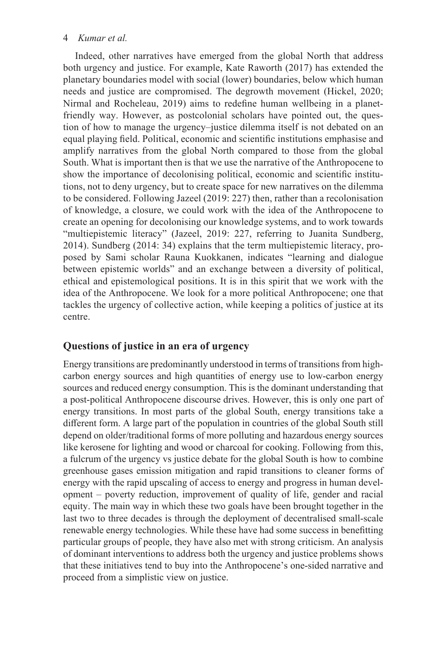Indeed, other narratives have emerged from the global North that address both urgency and justice. For example, Kate Raworth (2017) has extended the planetary boundaries model with social (lower) boundaries, below which human needs and justice are compromised. The degrowth movement (Hickel, 2020; Nirmal and Rocheleau, 2019) aims to redefine human wellbeing in a planetfriendly way. However, as postcolonial scholars have pointed out, the question of how to manage the urgency–justice dilemma itself is not debated on an equal playing field. Political, economic and scientific institutions emphasise and amplify narratives from the global North compared to those from the global South. What is important then is that we use the narrative of the Anthropocene to show the importance of decolonising political, economic and scientific institutions, not to deny urgency, but to create space for new narratives on the dilemma to be considered. Following Jazeel (2019: 227) then, rather than a recolonisation of knowledge, a closure, we could work with the idea of the Anthropocene to create an opening for decolonising our knowledge systems, and to work towards "multiepistemic literacy" (Jazeel, 2019: 227, referring to Juanita Sundberg, 2014). Sundberg (2014: 34) explains that the term multiepistemic literacy, proposed by Sami scholar Rauna Kuokkanen, indicates "learning and dialogue between epistemic worlds" and an exchange between a diversity of political, ethical and epistemological positions. It is in this spirit that we work with the idea of the Anthropocene. We look for a more political Anthropocene; one that tackles the urgency of collective action, while keeping a politics of justice at its centre.

## **Questions of justice in an era of urgency**

Energy transitions are predominantly understood in terms of transitions from highcarbon energy sources and high quantities of energy use to low-carbon energy sources and reduced energy consumption. This is the dominant understanding that a post-political Anthropocene discourse drives. However, this is only one part of energy transitions. In most parts of the global South, energy transitions take a different form. A large part of the population in countries of the global South still depend on older/traditional forms of more polluting and hazardous energy sources like kerosene for lighting and wood or charcoal for cooking. Following from this, a fulcrum of the urgency vs justice debate for the global South is how to combine greenhouse gases emission mitigation and rapid transitions to cleaner forms of energy with the rapid upscaling of access to energy and progress in human development – poverty reduction, improvement of quality of life, gender and racial equity. The main way in which these two goals have been brought together in the last two to three decades is through the deployment of decentralised small-scale renewable energy technologies. While these have had some success in benefitting particular groups of people, they have also met with strong criticism. An analysis of dominant interventions to address both the urgency and justice problems shows that these initiatives tend to buy into the Anthropocene's one-sided narrative and proceed from a simplistic view on justice.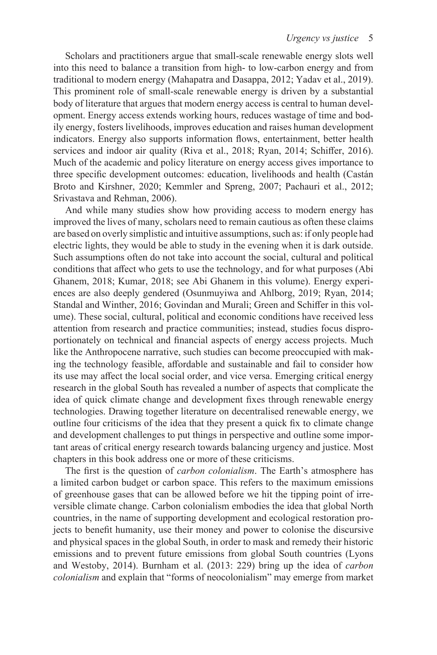Scholars and practitioners argue that small-scale renewable energy slots well into this need to balance a transition from high- to low-carbon energy and from traditional to modern energy (Mahapatra and Dasappa, 2012; Yadav et al., 2019). This prominent role of small-scale renewable energy is driven by a substantial body of literature that argues that modern energy access is central to human development. Energy access extends working hours, reduces wastage of time and bodily energy, fosters livelihoods, improves education and raises human development indicators. Energy also supports information flows, entertainment, better health services and indoor air quality (Riva et al., 2018; Ryan, 2014; Schiffer, 2016). Much of the academic and policy literature on energy access gives importance to three specific development outcomes: education, livelihoods and health (Castán Broto and Kirshner, 2020; Kemmler and Spreng, 2007; Pachauri et al., 2012; Srivastava and Rehman, 2006).

And while many studies show how providing access to modern energy has improved the lives of many, scholars need to remain cautious as often these claims are based on overly simplistic and intuitive assumptions, such as: if only people had electric lights, they would be able to study in the evening when it is dark outside. Such assumptions often do not take into account the social, cultural and political conditions that affect who gets to use the technology, and for what purposes (Abi Ghanem, 2018; Kumar, 2018; see Abi Ghanem in this volume). Energy experiences are also deeply gendered (Osunmuyiwa and Ahlborg, 2019; Ryan, 2014; Standal and Winther, 2016; Govindan and Murali; Green and Schiffer in this volume). These social, cultural, political and economic conditions have received less attention from research and practice communities; instead, studies focus disproportionately on technical and financial aspects of energy access projects. Much like the Anthropocene narrative, such studies can become preoccupied with making the technology feasible, affordable and sustainable and fail to consider how its use may affect the local social order, and vice versa. Emerging critical energy research in the global South has revealed a number of aspects that complicate the idea of quick climate change and development fixes through renewable energy technologies. Drawing together literature on decentralised renewable energy, we outline four criticisms of the idea that they present a quick fix to climate change and development challenges to put things in perspective and outline some important areas of critical energy research towards balancing urgency and justice. Most chapters in this book address one or more of these criticisms.

The first is the question of *carbon colonialism*. The Earth's atmosphere has a limited carbon budget or carbon space. This refers to the maximum emissions of greenhouse gases that can be allowed before we hit the tipping point of irreversible climate change. Carbon colonialism embodies the idea that global North countries, in the name of supporting development and ecological restoration projects to benefit humanity, use their money and power to colonise the discursive and physical spaces in the global South, in order to mask and remedy their historic emissions and to prevent future emissions from global South countries (Lyons and Westoby, 2014). Burnham et al. (2013: 229) bring up the idea of *carbon colonialism* and explain that "forms of neocolonialism" may emerge from market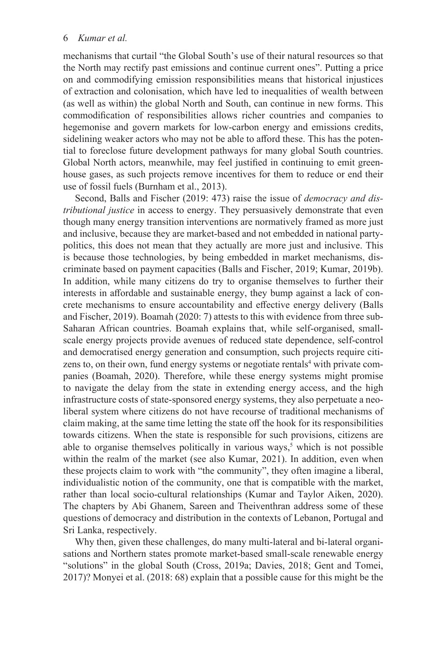mechanisms that curtail "the Global South's use of their natural resources so that the North may rectify past emissions and continue current ones". Putting a price on and commodifying emission responsibilities means that historical injustices of extraction and colonisation, which have led to inequalities of wealth between (as well as within) the global North and South, can continue in new forms. This commodification of responsibilities allows richer countries and companies to hegemonise and govern markets for low-carbon energy and emissions credits, sidelining weaker actors who may not be able to afford these. This has the potential to foreclose future development pathways for many global South countries. Global North actors, meanwhile, may feel justified in continuing to emit greenhouse gases, as such projects remove incentives for them to reduce or end their use of fossil fuels (Burnham et al., 2013).

Second, Balls and Fischer (2019: 473) raise the issue of *democracy and distributional justice* in access to energy. They persuasively demonstrate that even though many energy transition interventions are normatively framed as more just and inclusive, because they are market-based and not embedded in national partypolitics, this does not mean that they actually are more just and inclusive. This is because those technologies, by being embedded in market mechanisms, discriminate based on payment capacities (Balls and Fischer, 2019; Kumar, 2019b). In addition, while many citizens do try to organise themselves to further their interests in affordable and sustainable energy, they bump against a lack of concrete mechanisms to ensure accountability and effective energy delivery (Balls and Fischer, 2019). Boamah (2020: 7) attests to this with evidence from three sub-Saharan African countries. Boamah explains that, while self-organised, smallscale energy projects provide avenues of reduced state dependence, self-control and democratised energy generation and consumption, such projects require citizens to, on their own, fund energy systems or negotiate rentals<sup>4</sup> with private companies (Boamah, 2020). Therefore, while these energy systems might promise to navigate the delay from the state in extending energy access, and the high infrastructure costs of state-sponsored energy systems, they also perpetuate a neoliberal system where citizens do not have recourse of traditional mechanisms of claim making, at the same time letting the state off the hook for its responsibilities towards citizens. When the state is responsible for such provisions, citizens are able to organise themselves politically in various ways,<sup>5</sup> which is not possible within the realm of the market (see also Kumar, 2021). In addition, even when these projects claim to work with "the community", they often imagine a liberal, individualistic notion of the community, one that is compatible with the market, rather than local socio-cultural relationships (Kumar and Taylor Aiken, 2020). The chapters by Abi Ghanem, Sareen and Theiventhran address some of these questions of democracy and distribution in the contexts of Lebanon, Portugal and Sri Lanka, respectively.

Why then, given these challenges, do many multi-lateral and bi-lateral organisations and Northern states promote market-based small-scale renewable energy "solutions" in the global South (Cross, 2019a; Davies, 2018; Gent and Tomei, 2017)? Monyei et al. (2018: 68) explain that a possible cause for this might be the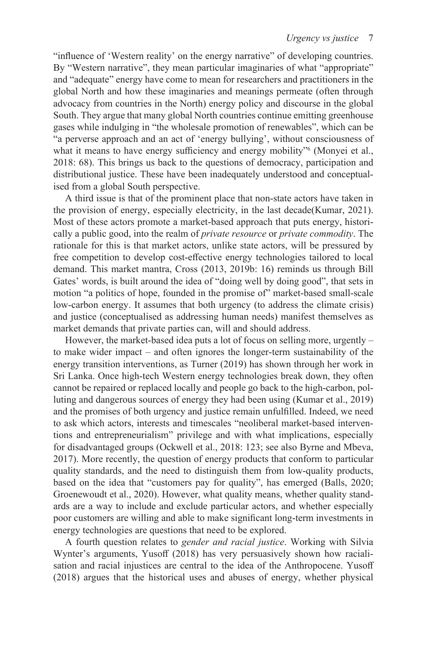"influence of 'Western reality' on the energy narrative" of developing countries. By "Western narrative", they mean particular imaginaries of what "appropriate" and "adequate" energy have come to mean for researchers and practitioners in the global North and how these imaginaries and meanings permeate (often through advocacy from countries in the North) energy policy and discourse in the global South. They argue that many global North countries continue emitting greenhouse gases while indulging in "the wholesale promotion of renewables", which can be "a perverse approach and an act of 'energy bullying', without consciousness of what it means to have energy sufficiency and energy mobility"<sup>6</sup> (Monyei et al., 2018: 68). This brings us back to the questions of democracy, participation and distributional justice. These have been inadequately understood and conceptualised from a global South perspective.

A third issue is that of the prominent place that non-state actors have taken in the provision of energy, especially electricity, in the last decade(Kumar, 2021). Most of these actors promote a market-based approach that puts energy, historically a public good, into the realm of *private resource* or *private commodity*. The rationale for this is that market actors, unlike state actors, will be pressured by free competition to develop cost-effective energy technologies tailored to local demand. This market mantra, Cross (2013, 2019b: 16) reminds us through Bill Gates' words, is built around the idea of "doing well by doing good", that sets in motion "a politics of hope, founded in the promise of" market-based small-scale low-carbon energy. It assumes that both urgency (to address the climate crisis) and justice (conceptualised as addressing human needs) manifest themselves as market demands that private parties can, will and should address.

However, the market-based idea puts a lot of focus on selling more, urgently – to make wider impact – and often ignores the longer-term sustainability of the energy transition interventions, as Turner (2019) has shown through her work in Sri Lanka. Once high-tech Western energy technologies break down, they often cannot be repaired or replaced locally and people go back to the high-carbon, polluting and dangerous sources of energy they had been using (Kumar et al., 2019) and the promises of both urgency and justice remain unfulfilled. Indeed, we need to ask which actors, interests and timescales "neoliberal market-based interventions and entrepreneurialism" privilege and with what implications, especially for disadvantaged groups (Ockwell et al., 2018: 123; see also Byrne and Mbeva, 2017). More recently, the question of energy products that conform to particular quality standards, and the need to distinguish them from low-quality products, based on the idea that "customers pay for quality", has emerged (Balls, 2020; Groenewoudt et al., 2020). However, what quality means, whether quality standards are a way to include and exclude particular actors, and whether especially poor customers are willing and able to make significant long-term investments in energy technologies are questions that need to be explored.

A fourth question relates to *gender and racial justice*. Working with Silvia Wynter's arguments, Yusoff (2018) has very persuasively shown how racialisation and racial injustices are central to the idea of the Anthropocene. Yusoff (2018) argues that the historical uses and abuses of energy, whether physical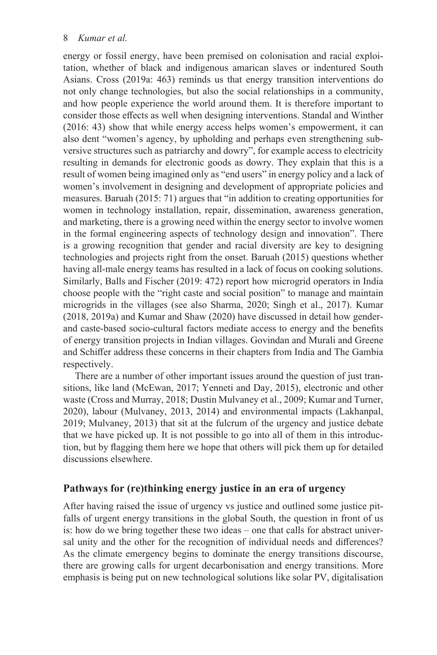energy or fossil energy, have been premised on colonisation and racial exploitation, whether of black and indigenous amarican slaves or indentured South Asians. Cross (2019a: 463) reminds us that energy transition interventions do not only change technologies, but also the social relationships in a community, and how people experience the world around them. It is therefore important to consider those effects as well when designing interventions. Standal and Winther (2016: 43) show that while energy access helps women's empowerment, it can also dent "women's agency, by upholding and perhaps even strengthening subversive structures such as patriarchy and dowry", for example access to electricity resulting in demands for electronic goods as dowry. They explain that this is a result of women being imagined only as "end users" in energy policy and a lack of women's involvement in designing and development of appropriate policies and measures. Baruah (2015: 71) argues that "in addition to creating opportunities for women in technology installation, repair, dissemination, awareness generation, and marketing, there is a growing need within the energy sector to involve women in the formal engineering aspects of technology design and innovation". There is a growing recognition that gender and racial diversity are key to designing technologies and projects right from the onset. Baruah (2015) questions whether having all-male energy teams has resulted in a lack of focus on cooking solutions. Similarly, Balls and Fischer (2019: 472) report how microgrid operators in India choose people with the "right caste and social position" to manage and maintain microgrids in the villages (see also Sharma, 2020; Singh et al., 2017). Kumar (2018, 2019a) and Kumar and Shaw (2020) have discussed in detail how genderand caste-based socio-cultural factors mediate access to energy and the benefits of energy transition projects in Indian villages. Govindan and Murali and Greene and Schiffer address these concerns in their chapters from India and The Gambia respectively.

There are a number of other important issues around the question of just transitions, like land (McEwan, 2017; Yenneti and Day, 2015), electronic and other waste (Cross and Murray, 2018; Dustin Mulvaney et al., 2009; Kumar and Turner, 2020), labour (Mulvaney, 2013, 2014) and environmental impacts (Lakhanpal, 2019; Mulvaney, 2013) that sit at the fulcrum of the urgency and justice debate that we have picked up. It is not possible to go into all of them in this introduction, but by flagging them here we hope that others will pick them up for detailed discussions elsewhere.

## **Pathways for (re)thinking energy justice in an era of urgency**

After having raised the issue of urgency vs justice and outlined some justice pitfalls of urgent energy transitions in the global South, the question in front of us is: how do we bring together these two ideas – one that calls for abstract universal unity and the other for the recognition of individual needs and differences? As the climate emergency begins to dominate the energy transitions discourse, there are growing calls for urgent decarbonisation and energy transitions. More emphasis is being put on new technological solutions like solar PV, digitalisation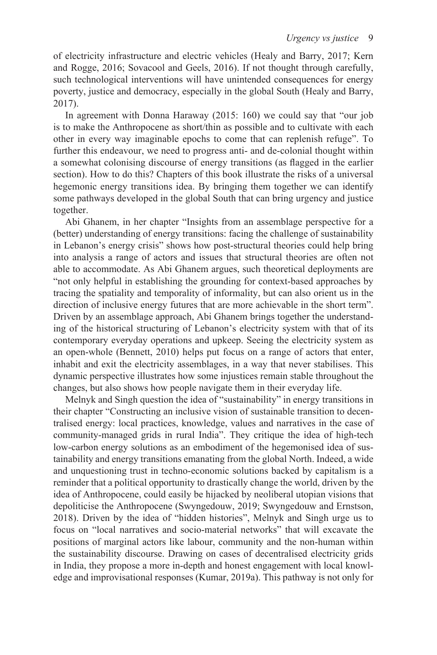of electricity infrastructure and electric vehicles (Healy and Barry, 2017; Kern and Rogge, 2016; Sovacool and Geels, 2016). If not thought through carefully, such technological interventions will have unintended consequences for energy poverty, justice and democracy, especially in the global South (Healy and Barry, 2017).

In agreement with Donna Haraway (2015: 160) we could say that "our job is to make the Anthropocene as short/thin as possible and to cultivate with each other in every way imaginable epochs to come that can replenish refuge". To further this endeavour, we need to progress anti- and de-colonial thought within a somewhat colonising discourse of energy transitions (as flagged in the earlier section). How to do this? Chapters of this book illustrate the risks of a universal hegemonic energy transitions idea. By bringing them together we can identify some pathways developed in the global South that can bring urgency and justice together.

Abi Ghanem, in her chapter "Insights from an assemblage perspective for a (better) understanding of energy transitions: facing the challenge of sustainability in Lebanon's energy crisis" shows how post-structural theories could help bring into analysis a range of actors and issues that structural theories are often not able to accommodate. As Abi Ghanem argues, such theoretical deployments are "not only helpful in establishing the grounding for context-based approaches by tracing the spatiality and temporality of informality, but can also orient us in the direction of inclusive energy futures that are more achievable in the short term". Driven by an assemblage approach, Abi Ghanem brings together the understanding of the historical structuring of Lebanon's electricity system with that of its contemporary everyday operations and upkeep. Seeing the electricity system as an open-whole (Bennett, 2010) helps put focus on a range of actors that enter, inhabit and exit the electricity assemblages, in a way that never stabilises. This dynamic perspective illustrates how some injustices remain stable throughout the changes, but also shows how people navigate them in their everyday life.

Melnyk and Singh question the idea of "sustainability" in energy transitions in their chapter "Constructing an inclusive vision of sustainable transition to decentralised energy: local practices, knowledge, values and narratives in the case of community-managed grids in rural India". They critique the idea of high-tech low-carbon energy solutions as an embodiment of the hegemonised idea of sustainability and energy transitions emanating from the global North. Indeed, a wide and unquestioning trust in techno-economic solutions backed by capitalism is a reminder that a political opportunity to drastically change the world, driven by the idea of Anthropocene, could easily be hijacked by neoliberal utopian visions that depoliticise the Anthropocene (Swyngedouw, 2019; Swyngedouw and Ernstson, 2018). Driven by the idea of "hidden histories", Melnyk and Singh urge us to focus on "local narratives and socio-material networks" that will excavate the positions of marginal actors like labour, community and the non-human within the sustainability discourse. Drawing on cases of decentralised electricity grids in India, they propose a more in-depth and honest engagement with local knowledge and improvisational responses (Kumar, 2019a). This pathway is not only for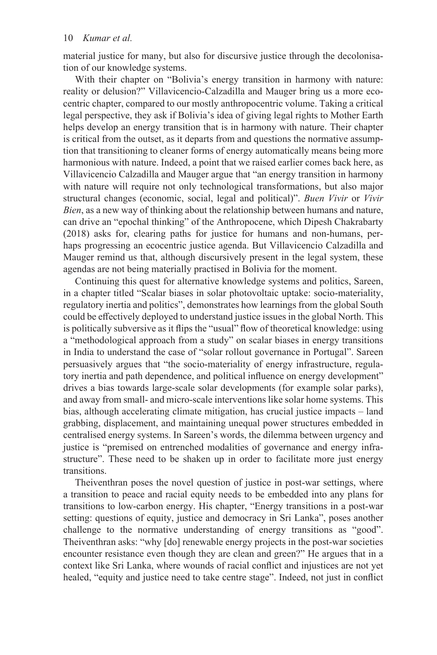material justice for many, but also for discursive justice through the decolonisation of our knowledge systems.

With their chapter on "Bolivia's energy transition in harmony with nature: reality or delusion?" Villavicencio-Calzadilla and Mauger bring us a more ecocentric chapter, compared to our mostly anthropocentric volume. Taking a critical legal perspective, they ask if Bolivia's idea of giving legal rights to Mother Earth helps develop an energy transition that is in harmony with nature. Their chapter is critical from the outset, as it departs from and questions the normative assumption that transitioning to cleaner forms of energy automatically means being more harmonious with nature. Indeed, a point that we raised earlier comes back here, as Villavicencio Calzadilla and Mauger argue that "an energy transition in harmony with nature will require not only technological transformations, but also major structural changes (economic, social, legal and political)". *Buen Vivir* or *Vivir Bien*, as a new way of thinking about the relationship between humans and nature, can drive an "epochal thinking" of the Anthropocene, which Dipesh Chakrabarty (2018) asks for, clearing paths for justice for humans and non-humans, perhaps progressing an ecocentric justice agenda. But Villavicencio Calzadilla and Mauger remind us that, although discursively present in the legal system, these agendas are not being materially practised in Bolivia for the moment.

Continuing this quest for alternative knowledge systems and politics, Sareen, in a chapter titled "Scalar biases in solar photovoltaic uptake: socio-materiality, regulatory inertia and politics", demonstrates how learnings from the global South could be effectively deployed to understand justice issues in the global North. This is politically subversive as it flips the "usual" flow of theoretical knowledge: using a "methodological approach from a study" on scalar biases in energy transitions in India to understand the case of "solar rollout governance in Portugal". Sareen persuasively argues that "the socio-materiality of energy infrastructure, regulatory inertia and path dependence, and political influence on energy development" drives a bias towards large-scale solar developments (for example solar parks), and away from small- and micro-scale interventions like solar home systems. This bias, although accelerating climate mitigation, has crucial justice impacts – land grabbing, displacement, and maintaining unequal power structures embedded in centralised energy systems. In Sareen's words, the dilemma between urgency and justice is "premised on entrenched modalities of governance and energy infrastructure". These need to be shaken up in order to facilitate more just energy transitions.

Theiventhran poses the novel question of justice in post-war settings, where a transition to peace and racial equity needs to be embedded into any plans for transitions to low-carbon energy. His chapter, "Energy transitions in a post-war setting: questions of equity, justice and democracy in Sri Lanka", poses another challenge to the normative understanding of energy transitions as "good". Theiventhran asks: "why [do] renewable energy projects in the post-war societies encounter resistance even though they are clean and green?" He argues that in a context like Sri Lanka, where wounds of racial conflict and injustices are not yet healed, "equity and justice need to take centre stage". Indeed, not just in conflict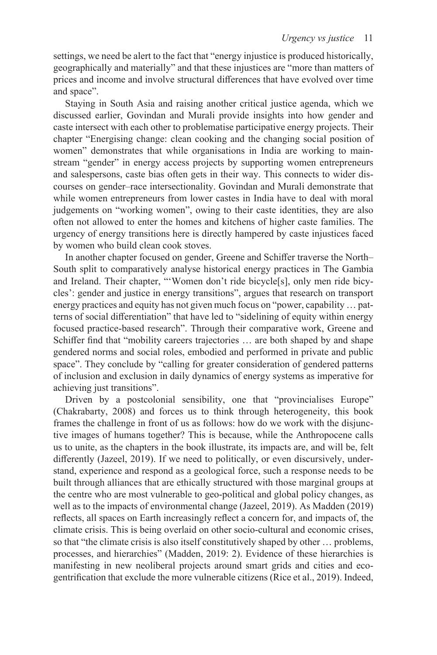settings, we need be alert to the fact that "energy injustice is produced historically, geographically and materially" and that these injustices are "more than matters of prices and income and involve structural differences that have evolved over time and space".

Staying in South Asia and raising another critical justice agenda, which we discussed earlier, Govindan and Murali provide insights into how gender and caste intersect with each other to problematise participative energy projects. Their chapter "Energising change: clean cooking and the changing social position of women" demonstrates that while organisations in India are working to mainstream "gender" in energy access projects by supporting women entrepreneurs and salespersons, caste bias often gets in their way. This connects to wider discourses on gender–race intersectionality. Govindan and Murali demonstrate that while women entrepreneurs from lower castes in India have to deal with moral judgements on "working women", owing to their caste identities, they are also often not allowed to enter the homes and kitchens of higher caste families. The urgency of energy transitions here is directly hampered by caste injustices faced by women who build clean cook stoves.

In another chapter focused on gender, Greene and Schiffer traverse the North– South split to comparatively analyse historical energy practices in The Gambia and Ireland. Their chapter, "'Women don't ride bicycle[s], only men ride bicycles': gender and justice in energy transitions", argues that research on transport energy practices and equity has not given much focus on "power, capability … patterns of social differentiation" that have led to "sidelining of equity within energy focused practice-based research". Through their comparative work, Greene and Schiffer find that "mobility careers trajectories … are both shaped by and shape gendered norms and social roles, embodied and performed in private and public space". They conclude by "calling for greater consideration of gendered patterns of inclusion and exclusion in daily dynamics of energy systems as imperative for achieving just transitions".

Driven by a postcolonial sensibility, one that "provincialises Europe" (Chakrabarty, 2008) and forces us to think through heterogeneity, this book frames the challenge in front of us as follows: how do we work with the disjunctive images of humans together? This is because, while the Anthropocene calls us to unite, as the chapters in the book illustrate, its impacts are, and will be, felt differently (Jazeel, 2019). If we need to politically, or even discursively, understand, experience and respond as a geological force, such a response needs to be built through alliances that are ethically structured with those marginal groups at the centre who are most vulnerable to geo-political and global policy changes, as well as to the impacts of environmental change (Jazeel, 2019). As Madden (2019) reflects, all spaces on Earth increasingly reflect a concern for, and impacts of, the climate crisis. This is being overlaid on other socio-cultural and economic crises, so that "the climate crisis is also itself constitutively shaped by other … problems, processes, and hierarchies" (Madden, 2019: 2). Evidence of these hierarchies is manifesting in new neoliberal projects around smart grids and cities and ecogentrification that exclude the more vulnerable citizens (Rice et al., 2019). Indeed,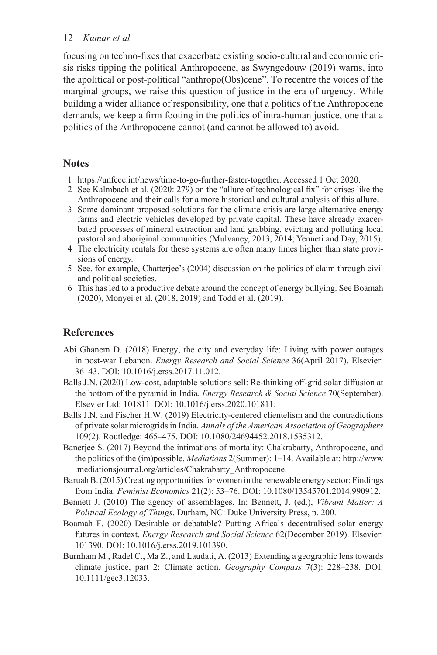focusing on techno-fixes that exacerbate existing socio-cultural and economic crisis risks tipping the political Anthropocene, as Swyngedouw (2019) warns, into the apolitical or post-political "anthropo(Obs)cene". To recentre the voices of the marginal groups, we raise this question of justice in the era of urgency. While building a wider alliance of responsibility, one that a politics of the Anthropocene demands, we keep a firm footing in the politics of intra-human justice, one that a politics of the Anthropocene cannot (and cannot be allowed to) avoid.

## **Notes**

- 1 [https://unfccc.int/news/time-to-go-further-faster-together.](https://unfccc.int) Accessed 1 Oct 2020.
- 2 See Kalmbach et al. (2020: 279) on the "allure of technological fix" for crises like the Anthropocene and their calls for a more historical and cultural analysis of this allure.
- 3 Some dominant proposed solutions for the climate crisis are large alternative energy farms and electric vehicles developed by private capital. These have already exacerbated processes of mineral extraction and land grabbing, evicting and polluting local pastoral and aboriginal communities (Mulvaney, 2013, 2014; Yenneti and Day, 2015).
- 4 The electricity rentals for these systems are often many times higher than state provisions of energy.
- 5 See, for example, Chatterjee's (2004) discussion on the politics of claim through civil and political societies.
- 6 This has led to a productive debate around the concept of energy bullying. See Boamah (2020), Monyei et al. (2018, 2019) and Todd et al. (2019).

## **References**

- Abi Ghanem D. (2018) Energy, the city and everyday life: Living with power outages in post-war Lebanon. *Energy Research and Social Science* 36(April 2017). Elsevier: 36–43. DOI: [10.1016/j.erss.2017.11.012](http://dx.doi.org/10.1016/j.erss.2017.11.012).
- Balls J.N. (2020) Low-cost, adaptable solutions sell: Re-thinking off-grid solar diffusion at the bottom of the pyramid in India. *Energy Research & Social Science* 70(September). Elsevier Ltd: 101811. DOI: [10.1016/j.erss.2020.101811](http://dx.doi.org/10.1016/j.erss.2020.101811).
- Balls J.N. and Fischer H.W. (2019) Electricity-centered clientelism and the contradictions of private solar microgrids in India. *Annals of the American Association of Geographers*  109(2). Routledge: 465–475. DOI: [10.1080/24694452.2018.1535312.](http://dx.doi.org/10.1080/24694452.2018.1535312)
- the politics of the (im)possible. *Mediations* 2(Summer): 1–14. Available at: [http://www](http://www.mediationsjournal.org) [.mediationsjournal.org/articles/Chakrabarty\\_Anthropocene](http://www.mediationsjournal.org). Banerjee S. (2017) Beyond the intimations of mortality: Chakrabarty, Anthropocene, and
- Baruah B. (2015) Creating opportunities for women in the renewable energy sector: Findings from India. *Feminist Economics* 21(2): 53–76. DOI: [10.1080/13545701.2014.990912](http://dx.doi.org/10.1080/13545701.2014.990912).
- Bennett J. (2010) The agency of assemblages. In: Bennett, J. (ed.), *Vibrant Matter: A Political Ecology of Things*. Durham, NC: Duke University Press, p. 200.
- Boamah F. (2020) Desirable or debatable? Putting Africa's decentralised solar energy futures in context. *Energy Research and Social Science* 62(December 2019). Elsevier: 101390. DOI: [10.1016/j.erss.2019.101390](http://dx.doi.org/10.1016/j.erss.2019.101390).
- Burnham M., Radel C., Ma Z., and Laudati, A. (2013) Extending a geographic lens towards climate justice, part 2: Climate action. *Geography Compass* 7(3): 228–238. DOI: [10.1111/gec3.12033](http://dx.doi.org/10.1111/gec3.12033).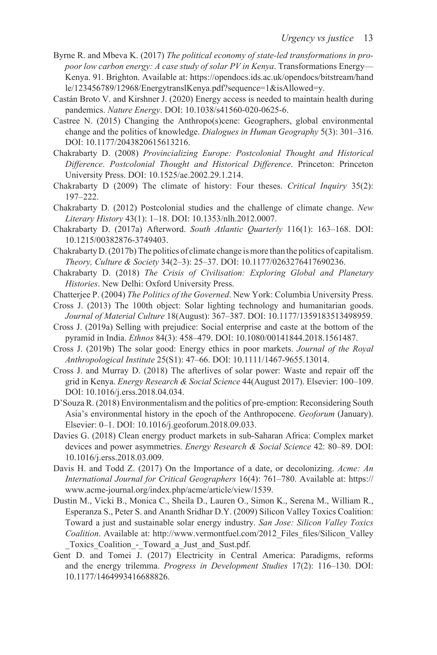- Kenya. 91. Brighton. Available at: [https://opendocs.ids.ac.uk/opendocs/bitstream/hand](https://opendocs.ids.ac.uk) [le/123456789/12968/EnergytranslKenya.pdf?sequence=1&isAllowed=y.](https://opendocs.ids.ac.uk) Byrne R. and Mbeva K. (2017) *The political economy of state-led transformations in propoor low carbon energy: A case study of solar PV in Kenya*. Transformations Energy—
- Castán Broto V. and Kirshner J. (2020) Energy access is needed to maintain health during pandemics. *Nature Energy*. DOI: [10.1038/s41560-020-0625-6](http://dx.doi.org/10.1038/s41560-020-0625-6).
- Castree N. (2015) Changing the Anthropo(s)cene: Geographers, global environmental change and the politics of knowledge. *Dialogues in Human Geography* 5(3): 301–316. DOI: [10.1177/2043820615613216](http://dx.doi.org/10.1177/2043820615613216).
- Chakrabarty D. (2008) *Provincializing Europe: Postcolonial Thought and Historical Difference*. *Postcolonial Thought and Historical Difference*. Princeton: Princeton University Press. DOI: [10.1525/ae.2002.29.1.214](http://dx.doi.org/10.1525/ae.2002.29.1.214).
- Chakrabarty D (2009) The climate of history: Four theses. *Critical Inquiry* 35(2): 197–222.
- Chakrabarty D. (2012) Postcolonial studies and the challenge of climate change. *New Literary History* 43(1): 1–18. DOI: [10.1353/nlh.2012.0007](http://dx.doi.org/10.1353/nlh.2012.0007).
- Chakrabarty D. (2017a) Afterword. *South Atlantic Quarterly* 116(1): 163–168. DOI: [10.1215/00382876-3749403](http://dx.doi.org/10.1215/00382876-3749403).
- Chakrabarty D. (2017b) The politics of climate change is more than the politics of capitalism. *Theory, Culture & Society* 34(2–3): 25–37. DOI: [10.1177/0263276417690236](http://dx.doi.org/10.1177/0263276417690236).
- Chakrabarty D. (2018) *The Crisis of Civilisation: Exploring Global and Planetary Histories*. New Delhi: Oxford University Press.
- Chatterjee P. (2004) *The Politics of the Governed*. New York: Columbia University Press.
- Cross J. (2013) The 100th object: Solar lighting technology and humanitarian goods. *Journal of Material Culture* 18(August): 367–387. DOI: [10.1177/1359183513498959](http://dx.doi.org/10.1177/1359183513498959).
- Cross J. (2019a) Selling with prejudice: Social enterprise and caste at the bottom of the pyramid in India. *Ethnos* 84(3): 458–479. DOI: [10.1080/00141844.2018.1561487](http://dx.doi.org/10.1080/00141844.2018.1561487).
- Cross J. (2019b) The solar good: Energy ethics in poor markets. *Journal of the Royal Anthropological Institute* 25(S1): 47–66. DOI: [10.1111/1467-9655.13014](http://dx.doi.org/10.1111/1467-9655.13014).
- Cross J. and Murray D. (2018) The afterlives of solar power: Waste and repair off the grid in Kenya. *Energy Research & Social Science* 44(August 2017). Elsevier: 100–109. DOI: [10.1016/j.erss.2018.04.034](http://dx.doi.org/10.1016/j.erss.2018.04.034).
- D'Souza R. (2018) Environmentalism and the politics of pre-emption: Reconsidering South Asia's environmental history in the epoch of the Anthropocene. *Geoforum* (January). Elsevier: 0–1. DOI: [10.1016/j.geoforum.2018.09.033.](http://dx.doi.org/10.1016/j.geoforum.2018.09.033)
- Davies G. (2018) Clean energy product markets in sub-Saharan Africa: Complex market devices and power asymmetries. *Energy Research & Social Science* 42: 80–89. DOI: [10.1016/j.erss.2018.03.009.](http://dx.doi.org/10.1016/j.erss.2018.03.009)
- *International Journal for Critical Geographers* 16(4): 761–780. Available at: [https://](https://www.acme-journal.org) [www.acme-journal.org/index.php/acme/article/view/1539.](https://www.acme-journal.org) Davis H. and Todd Z. (2017) On the Importance of a date, or decolonizing. *Acme: An*
- *Coalition*. Available at: [http://www.vermontfuel.com/2012\\_Files\\_files/Silicon\\_Valley](http://www.vermontfuel.com) [\\_Toxics\\_Coalition\\_-\\_Toward\\_a\\_Just\\_and\\_Sust.pdf.](http://www.vermontfuel.com) Dustin M., Vicki B., Monica C., Sheila D., Lauren O., Simon K., Serena M., William R., Esperanza S., Peter S. and Ananth Sridhar D.Y. (2009) Silicon Valley Toxics Coalition: Toward a just and sustainable solar energy industry. *San Jose: Silicon Valley Toxics*
- Gent D. and Tomei J. (2017) Electricity in Central America: Paradigms, reforms and the energy trilemma. *Progress in Development Studies* 17(2): 116–130. DOI: [10.1177/1464993416688826.](http://dx.doi.org/10.1177/1464993416688826)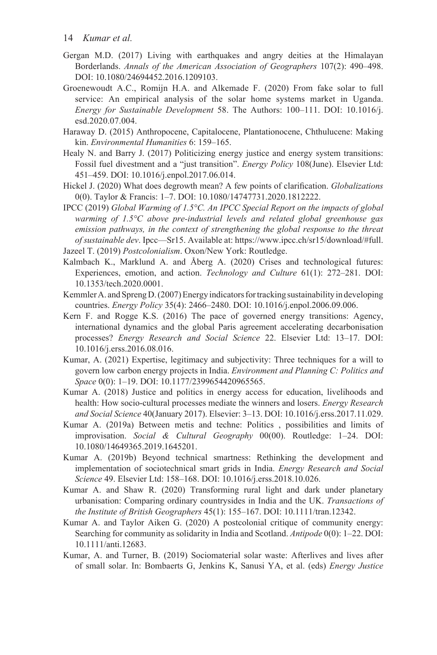- Gergan M.D. (2017) Living with earthquakes and angry deities at the Himalayan Borderlands. *Annals of the American Association of Geographers* 107(2): 490–498. DOI: [10.1080/24694452.2016.1209103](http://dx.doi.org/10.1080/24694452.2016.1209103).
- Groenewoudt A.C., Romijn H.A. and Alkemade F. (2020) From fake solar to full service: An empirical analysis of the solar home systems market in Uganda. *Energy for Sustainable Development* 58. The Authors: 100–111. DOI: [10.1016/j.](http://dx.doi.org/10.1016/j.esd.2020.07.004) [esd.2020.07.004.](http://dx.doi.org/10.1016/j.esd.2020.07.004)
- Haraway D. (2015) Anthropocene, Capitalocene, Plantationocene, Chthulucene: Making kin. *Environmental Humanities* 6: 159–165.
- Healy N. and Barry J. (2017) Politicizing energy justice and energy system transitions: Fossil fuel divestment and a "just transition". *Energy Policy* 108(June). Elsevier Ltd: 451–459. DOI: [10.1016/j.enpol.2017.06.014](http://dx.doi.org/10.1016/j.enpol.2017.06.014).
- Hickel J. (2020) What does degrowth mean? A few points of clarification. *Globalizations*  0(0). Taylor & Francis: 1–7. DOI: [10.1080/14747731.2020.1812222.](http://dx.doi.org/10.1080/14747731.2020.1812222)
- *of sustainable dev*. Ipcc—Sr15. Available at: [https://www.ipcc.ch/sr15/download/#full.](https://www.ipcc.ch) IPCC (2019) *Global Warming of 1.5°C. An IPCC Special Report on the impacts of global warming of 1.5°C above pre-industrial levels and related global greenhouse gas emission pathways, in the context of strengthening the global response to the threat*
- Jazeel T. (2019) *Postcolonialism*. Oxon/New York: Routledge.
- Kalmbach K., Marklund A. and Åberg A. (2020) Crises and technological futures: Experiences, emotion, and action. *Technology and Culture* 61(1): 272–281. DOI: [10.1353/tech.2020.0001](http://dx.doi.org/10.1353/tech.2020.0001).
- Kemmler A. and Spreng D. (2007) Energy indicators for tracking sustainability in developing countries. *Energy Policy* 35(4): 2466–2480. DOI: [10.1016/j.enpol.2006.09.006.](http://dx.doi.org/10.1016/j.enpol.2006.09.006)
- Kern F. and Rogge K.S. (2016) The pace of governed energy transitions: Agency, international dynamics and the global Paris agreement accelerating decarbonisation processes? *Energy Research and Social Science* 22. Elsevier Ltd: 13–17. DOI: [10.1016/j.erss.2016.08.016.](http://dx.doi.org/10.1016/j.erss.2016.08.016)
- Kumar, A. (2021) Expertise, legitimacy and subjectivity: Three techniques for a will to govern low carbon energy projects in India. *Environment and Planning C: Politics and Space* 0(0): 1–19. DOI: [10.1177/2399654420965565.](http://dx.doi.org/10.1177/2399654420965565)
- Kumar A. (2018) Justice and politics in energy access for education, livelihoods and health: How socio-cultural processes mediate the winners and losers. *Energy Research and Social Science* 40(January 2017). Elsevier: 3–13. DOI: [10.1016/j.erss.2017.11.029.](http://dx.doi.org/10.1016/j.erss.2017.11.029)
- Kumar A. (2019a) Between metis and techne: Politics , possibilities and limits of improvisation. *Social & Cultural Geography* 00(00). Routledge: 1–24. DOI: [10.1080/14649365.2019.1645201.](http://dx.doi.org/10.1080/14649365.2019.1645201)
- Kumar A. (2019b) Beyond technical smartness: Rethinking the development and implementation of sociotechnical smart grids in India. *Energy Research and Social Science* 49. Elsevier Ltd: 158–168. DOI: [10.1016/j.erss.2018.10.026.](http://dx.doi.org/10.1016/j.erss.2018.10.026)
- Kumar A. and Shaw R. (2020) Transforming rural light and dark under planetary urbanisation: Comparing ordinary countrysides in India and the UK. *Transactions of the Institute of British Geographers* 45(1): 155–167. DOI: [10.1111/tran.12342](http://dx.doi.org/10.1111/tran.12342).
- Kumar A. and Taylor Aiken G. (2020) A postcolonial critique of community energy: Searching for community as solidarity in India and Scotland. *Antipode* 0(0): 1–22. DOI: [10.1111/anti.12683.](http://dx.doi.org/10.1111/anti.12683)
- Kumar, A. and Turner, B. (2019) Sociomaterial solar waste: Afterlives and lives after of small solar. In: Bombaerts G, Jenkins K, Sanusi YA, et al. (eds) *Energy Justice*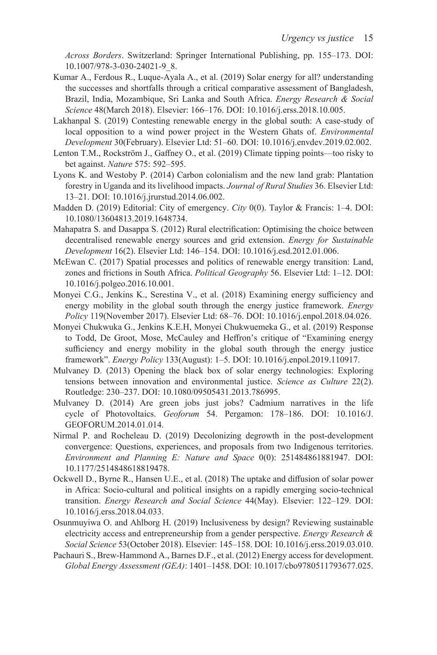*Across Borders*. Switzerland: Springer International Publishing, pp. 155–173. DOI: [10.1007/978-3-030-24021-9\\_8](http://dx.doi.org/10.1007/978-3-030-24021-9_8).

- Kumar A., Ferdous R., Luque-Ayala A., et al. (2019) Solar energy for all? understanding the successes and shortfalls through a critical comparative assessment of Bangladesh, Brazil, India, Mozambique, Sri Lanka and South Africa. *Energy Research & Social Science* 48(March 2018). Elsevier: 166–176. DOI: [10.1016/j.erss.2018.10.005.](http://dx.doi.org/10.1016/j.erss.2018.10.005)
- Lakhanpal S. (2019) Contesting renewable energy in the global south: A case-study of local opposition to a wind power project in the Western Ghats of. *Environmental Development* 30(February). Elsevier Ltd: 51–60. DOI: [10.1016/j.envdev.2019.02.002](http://dx.doi.org/10.1016/j.envdev.2019.02.002).
- Lenton T.M., Rockström J., Gaffney O., et al. (2019) Climate tipping points—too risky to bet against. *Nature* 575: 592–595.
- Lyons K. and Westoby P. (2014) Carbon colonialism and the new land grab: Plantation forestry in Uganda and its livelihood impacts. *Journal of Rural Studies* 36. Elsevier Ltd: 13–21. DOI: [10.1016/j.jrurstud.2014.06.002](http://dx.doi.org/10.1016/j.jrurstud.2014.06.002).
- Madden D. (2019) Editorial: City of emergency. *City* 0(0). Taylor & Francis: 1–4. DOI: [10.1080/13604813.2019.1648734.](http://dx.doi.org/10.1080/13604813.2019.1648734)
- Mahapatra S. and Dasappa S. (2012) Rural electrification: Optimising the choice between decentralised renewable energy sources and grid extension. *Energy for Sustainable Development* 16(2). Elsevier Ltd: 146–154. DOI: [10.1016/j.esd.2012.01.006](http://dx.doi.org/10.1016/j.esd.2012.01.006).
- McEwan C. (2017) Spatial processes and politics of renewable energy transition: Land, zones and frictions in South Africa. *Political Geography* 56. Elsevier Ltd: 1–12. DOI: [10.1016/j.polgeo.2016.10.001](http://dx.doi.org/10.1016/j.polgeo.2016.10.001).
- Monyei C.G., Jenkins K., Serestina V., et al. (2018) Examining energy sufficiency and energy mobility in the global south through the energy justice framework. *Energy Policy* 119(November 2017). Elsevier Ltd: 68–76. DOI: [10.1016/j.enpol.2018.04.026.](http://dx.doi.org/10.1016/j.enpol.2018.04.026)
- Monyei Chukwuka G., Jenkins K.E.H, Monyei Chukwuemeka G., et al. (2019) Response to Todd, De Groot, Mose, McCauley and Heffron's critique of "Examining energy sufficiency and energy mobility in the global south through the energy justice framework". *Energy Policy* 133(August): 1–5. DOI: [10.1016/j.enpol.2019.110917](http://dx.doi.org/10.1016/j.enpol.2019.110917).
- Mulvaney D. (2013) Opening the black box of solar energy technologies: Exploring tensions between innovation and environmental justice. *Science as Culture* 22(2). Routledge: 230–237. DOI: [10.1080/09505431.2013.786995.](http://dx.doi.org/10.1080/09505431.2013.786995)
- Mulvaney D. (2014) Are green jobs just jobs? Cadmium narratives in the life cycle of Photovoltaics. *Geoforum* 54. Pergamon: 178–186. DOI: [10.1016/J.](http://dx.doi.org/10.1016/J.GEOFORUM.2014.01.014) [GEOFORUM.2014.01.014.](http://dx.doi.org/10.1016/J.GEOFORUM.2014.01.014)
- Nirmal P. and Rocheleau D. (2019) Decolonizing degrowth in the post-development convergence: Questions, experiences, and proposals from two Indigenous territories. *Environment and Planning E: Nature and Space* 0(0): 251484861881947. DOI: [10.1177/2514848618819478.](http://dx.doi.org/10.1177/2514848618819478)
- Ockwell D., Byrne R., Hansen U.E., et al. (2018) The uptake and diffusion of solar power in Africa: Socio-cultural and political insights on a rapidly emerging socio-technical transition. *Energy Research and Social Science* 44(May). Elsevier: 122–129. DOI: [10.1016/j.erss.2018.04.033.](http://dx.doi.org/10.1016/j.erss.2018.04.033)
- Osunmuyiwa O. and Ahlborg H. (2019) Inclusiveness by design? Reviewing sustainable electricity access and entrepreneurship from a gender perspective. *Energy Research & Social Science* 53(October 2018). Elsevier: 145–158. DOI: [10.1016/j.erss.2019.03.010.](http://dx.doi.org/10.1016/j.erss.2019.03.010)
- Pachauri S., Brew-Hammond A., Barnes D.F., et al. (2012) Energy access for development. *Global Energy Assessment (GEA)*: 1401–1458. DOI: [10.1017/cbo9780511793677.025.](http://dx.doi.org/10.1017/cbo9780511793677.025)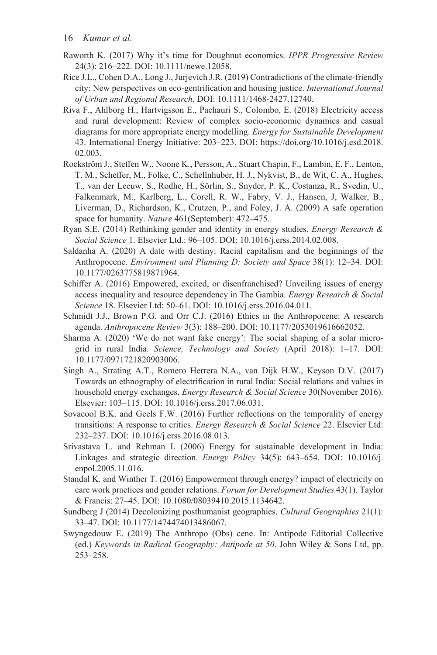- Raworth K. (2017) Why it's time for Doughnut economics. *IPPR Progressive Review*  24(3): 216–222. DOI: [10.1111/newe.12058](http://dx.doi.org/10.1111/newe.12058).
- Rice J.L., Cohen D.A., Long J., Jurjevich J.R. (2019) Contradictions of the climate-friendly city: New perspectives on eco-gentrification and housing justice. *International Journal of Urban and Regional Research*. DOI: [10.1111/1468-2427.12740.](http://dx.doi.org/10.1111/1468-2427.12740)
- 43. International Energy Initiative: 203–223. DOI: [https://doi.org/10.1016/j.esd.2018.](https://doi.org/10.1016/j.esd.2018.02.003) [02.003.](https://doi.org/10.1016/j.esd.2018.02.003) Riva F., Ahlborg H., Hartvigsson E., Pachauri S., Colombo, E. (2018) Electricity access and rural development: Review of complex socio-economic dynamics and casual diagrams for more appropriate energy modelling. *Energy for Sustainable Development*
- Rockström J., Steffen W., Noone K., Persson, A., Stuart Chapin, F., Lambin, E. F., Lenton, T. M., Scheffer, M., Folke, C., Schellnhuber, H. J., Nykvist, B., de Wit, C. A., Hughes, T., van der Leeuw, S., Rodhe, H., Sörlin, S., Snyder, P. K., Costanza, R., Svedin, U., Falkenmark, M., Karlberg, L., Corell, R. W., Fabry, V. J., Hansen, J, Walker, B., Liverman, D., Richardson, K., Crutzen, P., and Foley, J. A. (2009) A safe operation space for humanity. *Nature* 461(September): 472–475.
- Ryan S.E. (2014) Rethinking gender and identity in energy studies. *Energy Research & Social Science* 1. Elsevier Ltd.: 96–105. DOI: [10.1016/j.erss.2014.02.008.](http://dx.doi.org/10.1016/j.erss.2014.02.008)
- Saldanha A. (2020) A date with destiny: Racial capitalism and the beginnings of the Anthropocene. *Environment and Planning D: Society and Space* 38(1): 12–34. DOI: [10.1177/0263775819871964.](http://dx.doi.org/10.1177/0263775819871964)
- Schiffer A. (2016) Empowered, excited, or disenfranchised? Unveiling issues of energy access inequality and resource dependency in The Gambia. *Energy Research & Social Science* 18. Elsevier Ltd: 50–61. DOI: [10.1016/j.erss.2016.04.011.](http://dx.doi.org/10.1016/j.erss.2016.04.011)
- Schmidt J.J., Brown P.G. and Orr C.J. (2016) Ethics in the Anthropocene: A research agenda. *Anthropocene Review* 3(3): 188–200. DOI: [10.1177/2053019616662052](http://dx.doi.org/10.1177/2053019616662052).
- Sharma A. (2020) 'We do not want fake energy': The social shaping of a solar microgrid in rural India. *Science, Technology and Society* (April 2018): 1–17. DOI: [10.1177/0971721820903006.](http://dx.doi.org/10.1177/0971721820903006)
- Singh A., Strating A.T., Romero Herrera N.A., van Dijk H.W., Keyson D.V. (2017) Towards an ethnography of electrification in rural India: Social relations and values in household energy exchanges. *Energy Research & Social Science* 30(November 2016). Elsevier: 103–115. DOI: [10.1016/j.erss.2017.06.031.](http://dx.doi.org/10.1016/j.erss.2017.06.031)
- Sovacool B.K. and Geels F.W. (2016) Further reflections on the temporality of energy transitions: A response to critics. *Energy Research & Social Science* 22. Elsevier Ltd: 232–237. DOI: [10.1016/j.erss.2016.08.013](http://dx.doi.org/10.1016/j.erss.2016.08.013).
- Srivastava L. and Rehman I. (2006) Energy for sustainable development in India: Linkages and strategic direction. *Energy Policy* 34(5): 643–654. DOI: [10.1016/j.](http://dx.doi.org/10.1016/j.enpol.2005.11.016) [enpol.2005.11.016](http://dx.doi.org/10.1016/j.enpol.2005.11.016).
- Standal K. and Winther T. (2016) Empowerment through energy? impact of electricity on care work practices and gender relations. *Forum for Development Studies* 43(1). Taylor & Francis: 27–45. DOI: [10.1080/08039410.2015.1134642.](http://dx.doi.org/10.1080/08039410.2015.1134642)
- Sundberg J (2014) Decolonizing posthumanist geographies. *Cultural Geographies* 21(1): 33–47. DOI: [10.1177/1474474013486067](http://dx.doi.org/10.1177/1474474013486067).
- Swyngedouw E. (2019) The Anthropo (Obs) cene. In: Antipode Editorial Collective (ed.) *Keywords in Radical Geography: Antipode at 50*. John Wiley & Sons Ltd, pp. 253–258.